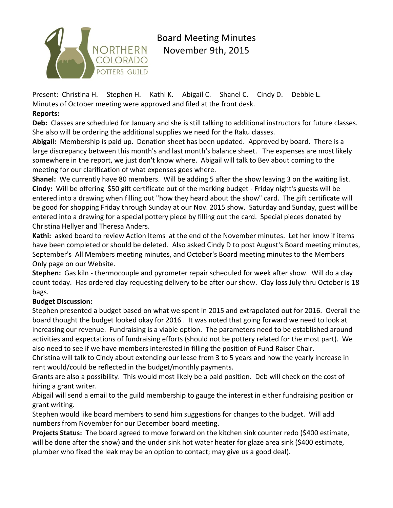

Board Meeting Minutes November 9th, 2015

Present: Christina H. Stephen H. Kathi K. Abigail C. Shanel C. Cindy D. Debbie L. Minutes of October meeting were approved and filed at the front desk.

## **Reports:**

**Deb:** Classes are scheduled for January and she is still talking to additional instructors for future classes. She also will be ordering the additional supplies we need for the Raku classes.

**Abigail:** Membership is paid up. Donation sheet has been updated. Approved by board. There is a large discrepancy between this month's and last month's balance sheet. The expenses are most likely somewhere in the report, we just don't know where. Abigail will talk to Bev about coming to the meeting for our clarification of what expenses goes where.

**Shanel:** We currently have 80 members. Will be adding 5 after the show leaving 3 on the waiting list. **Cindy:** Will be offering \$50 gift certificate out of the marking budget - Friday night's guests will be entered into a drawing when filling out "how they heard about the show" card. The gift certificate will be good for shopping Friday through Sunday at our Nov. 2015 show. Saturday and Sunday, guest will be entered into a drawing for a special pottery piece by filling out the card. Special pieces donated by Christina Hellyer and Theresa Anders.

**Kathi:** asked board to review Action Items at the end of the November minutes. Let her know if items have been completed or should be deleted. Also asked Cindy D to post August's Board meeting minutes, September's All Members meeting minutes, and October's Board meeting minutes to the Members Only page on our Website.

**Stephen:** Gas kiln - thermocouple and pyrometer repair scheduled for week after show. Will do a clay count today. Has ordered clay requesting delivery to be after our show. Clay loss July thru October is 18 bags.

## **Budget Discussion:**

Stephen presented a budget based on what we spent in 2015 and extrapolated out for 2016. Overall the board thought the budget looked okay for 2016 . It was noted that going forward we need to look at increasing our revenue. Fundraising is a viable option. The parameters need to be established around activities and expectations of fundraising efforts (should not be pottery related for the most part). We also need to see if we have members interested in filling the position of Fund Raiser Chair.

Christina will talk to Cindy about extending our lease from 3 to 5 years and how the yearly increase in rent would/could be reflected in the budget/monthly payments.

Grants are also a possibility. This would most likely be a paid position. Deb will check on the cost of hiring a grant writer.

Abigail will send a email to the guild membership to gauge the interest in either fundraising position or grant writing.

Stephen would like board members to send him suggestions for changes to the budget. Will add numbers from November for our December board meeting.

**Projects Status:** The board agreed to move forward on the kitchen sink counter redo (\$400 estimate, will be done after the show) and the under sink hot water heater for glaze area sink (\$400 estimate, plumber who fixed the leak may be an option to contact; may give us a good deal).